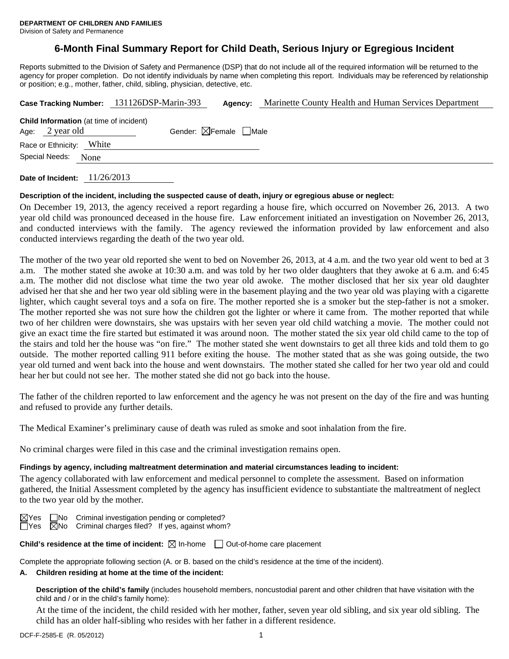## **6-Month Final Summary Report for Child Death, Serious Injury or Egregious Incident**

Reports submitted to the Division of Safety and Permanence (DSP) that do not include all of the required information will be returned to the agency for proper completion. Do not identify individuals by name when completing this report. Individuals may be referenced by relationship or position; e.g., mother, father, child, sibling, physician, detective, etc.

| Case Tracking Number: 131126DSP-Marin-393                         |      |                                        | Agency: | Marinette County Health and Human Services Department |  |  |  |
|-------------------------------------------------------------------|------|----------------------------------------|---------|-------------------------------------------------------|--|--|--|
| <b>Child Information</b> (at time of incident)<br>Age: 2 year old |      | Gender: $\boxtimes$ Female $\Box$ Male |         |                                                       |  |  |  |
| Race or Ethnicity: White                                          |      |                                        |         |                                                       |  |  |  |
| Special Needs:                                                    | None |                                        |         |                                                       |  |  |  |
|                                                                   |      |                                        |         |                                                       |  |  |  |

**Date of Incident:** 11/26/2013

#### **Description of the incident, including the suspected cause of death, injury or egregious abuse or neglect:**

On December 19, 2013, the agency received a report regarding a house fire, which occurred on November 26, 2013. A two year old child was pronounced deceased in the house fire. Law enforcement initiated an investigation on November 26, 2013, and conducted interviews with the family. The agency reviewed the information provided by law enforcement and also conducted interviews regarding the death of the two year old.

The mother of the two year old reported she went to bed on November 26, 2013, at 4 a.m. and the two year old went to bed at 3 a.m. The mother stated she awoke at 10:30 a.m. and was told by her two older daughters that they awoke at 6 a.m. and 6:45 a.m. The mother did not disclose what time the two year old awoke. The mother disclosed that her six year old daughter advised her that she and her two year old sibling were in the basement playing and the two year old was playing with a cigarette lighter, which caught several toys and a sofa on fire. The mother reported she is a smoker but the step-father is not a smoker. The mother reported she was not sure how the children got the lighter or where it came from. The mother reported that while two of her children were downstairs, she was upstairs with her seven year old child watching a movie. The mother could not give an exact time the fire started but estimated it was around noon. The mother stated the six year old child came to the top of the stairs and told her the house was "on fire." The mother stated she went downstairs to get all three kids and told them to go outside. The mother reported calling 911 before exiting the house. The mother stated that as she was going outside, the two year old turned and went back into the house and went downstairs. The mother stated she called for her two year old and could hear her but could not see her. The mother stated she did not go back into the house.

The father of the children reported to law enforcement and the agency he was not present on the day of the fire and was hunting and refused to provide any further details.

The Medical Examiner's preliminary cause of death was ruled as smoke and soot inhalation from the fire.

No criminal charges were filed in this case and the criminal investigation remains open.

#### **Findings by agency, including maltreatment determination and material circumstances leading to incident:**

The agency collaborated with law enforcement and medical personnel to complete the assessment. Based on information gathered, the Initial Assessment completed by the agency has insufficient evidence to substantiate the maltreatment of neglect to the two year old by the mother.

 $\boxtimes$ Yes  $\Box$ No Criminal investigation pending or completed?  $\Box$ Yes  $\boxtimes$ No Criminal charges filed? If yes, against whom  $\overline{\boxtimes}$ No Criminal charges filed? If yes, against whom?

**Child's residence at the time of incident:**  $\boxtimes$  In-home  $\Box$  Out-of-home care placement

Complete the appropriate following section (A. or B. based on the child's residence at the time of the incident).

#### **A. Children residing at home at the time of the incident:**

**Description of the child's family** (includes household members, noncustodial parent and other children that have visitation with the child and / or in the child's family home):

 At the time of the incident, the child resided with her mother, father, seven year old sibling, and six year old sibling. The child has an older half-sibling who resides with her father in a different residence.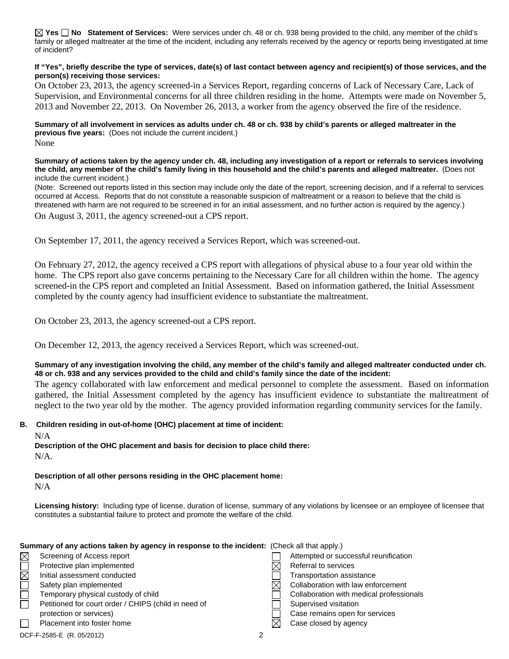**Yes No Statement of Services:** Were services under ch. 48 or ch. 938 being provided to the child, any member of the child's family or alleged maltreater at the time of the incident, including any referrals received by the agency or reports being investigated at time of incident?

#### **If "Yes", briefly describe the type of services, date(s) of last contact between agency and recipient(s) of those services, and the person(s) receiving those services:**

On October 23, 2013, the agency screened-in a Services Report, regarding concerns of Lack of Necessary Care, Lack of Supervision, and Environmental concerns for all three children residing in the home. Attempts were made on November 5, 2013 and November 22, 2013. On November 26, 2013, a worker from the agency observed the fire of the residence.

#### **Summary of all involvement in services as adults under ch. 48 or ch. 938 by child's parents or alleged maltreater in the previous five years:** (Does not include the current incident.) None

**Summary of actions taken by the agency under ch. 48, including any investigation of a report or referrals to services involving the child, any member of the child's family living in this household and the child's parents and alleged maltreater.** (Does not include the current incident.)

(Note: Screened out reports listed in this section may include only the date of the report, screening decision, and if a referral to services occurred at Access. Reports that do not constitute a reasonable suspicion of maltreatment or a reason to believe that the child is threatened with harm are not required to be screened in for an initial assessment, and no further action is required by the agency.)

On August 3, 2011, the agency screened-out a CPS report.

On September 17, 2011, the agency received a Services Report, which was screened-out.

On February 27, 2012, the agency received a CPS report with allegations of physical abuse to a four year old within the home. The CPS report also gave concerns pertaining to the Necessary Care for all children within the home. The agency screened-in the CPS report and completed an Initial Assessment. Based on information gathered, the Initial Assessment completed by the county agency had insufficient evidence to substantiate the maltreatment.

On October 23, 2013, the agency screened-out a CPS report.

On December 12, 2013, the agency received a Services Report, which was screened-out.

#### **Summary of any investigation involving the child, any member of the child's family and alleged maltreater conducted under ch. 48 or ch. 938 and any services provided to the child and child's family since the date of the incident:**

The agency collaborated with law enforcement and medical personnel to complete the assessment. Based on information gathered, the Initial Assessment completed by the agency has insufficient evidence to substantiate the maltreatment of neglect to the two year old by the mother. The agency provided information regarding community services for the family.

#### **B. Children residing in out-of-home (OHC) placement at time of incident:**

N/A

**Description of the OHC placement and basis for decision to place child there:** N/A.

**Description of all other persons residing in the OHC placement home:** N/A

**Licensing history:** Including type of license, duration of license, summary of any violations by licensee or an employee of licensee that constitutes a substantial failure to protect and promote the welfare of the child.

#### **Summary of any actions taken by agency in response to the incident:** (Check all that apply.)

| $\boxtimes$ | Screening of Access report                           |  | Attempted or successful reunification    |
|-------------|------------------------------------------------------|--|------------------------------------------|
|             | Protective plan implemented                          |  | Referral to services                     |
| $\boxtimes$ | Initial assessment conducted                         |  | Transportation assistance                |
|             | Safety plan implemented                              |  | Collaboration with law enforcement       |
|             | Temporary physical custody of child                  |  | Collaboration with medical professionals |
|             | Petitioned for court order / CHIPS (child in need of |  | Supervised visitation                    |
|             | protection or services)                              |  | Case remains open for services           |
|             | Placement into foster home                           |  | Case closed by agency                    |
|             | DCF-F-2585-E (R. 05/2012)                            |  |                                          |
|             |                                                      |  |                                          |